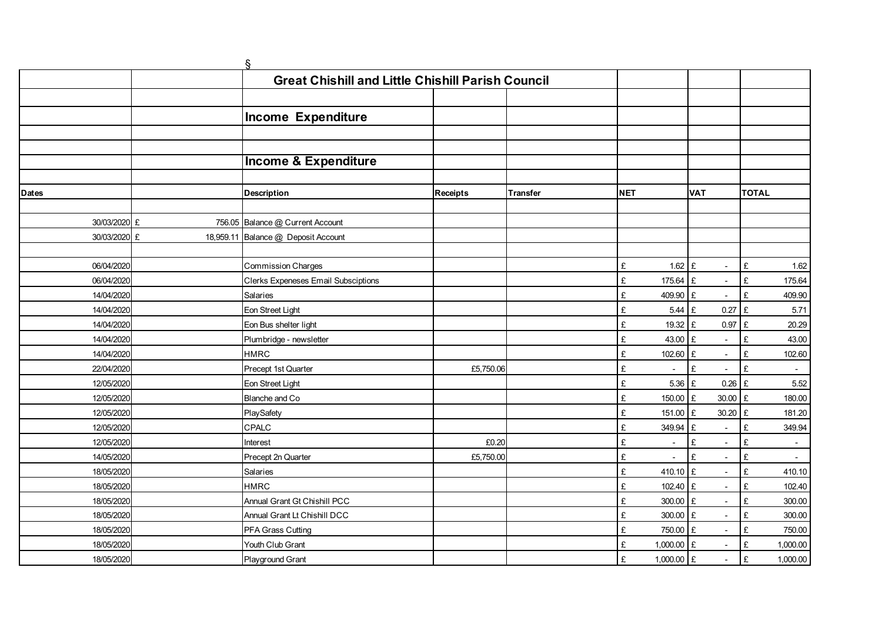|                          |           | ş                                                        |                 |          |            |                          |                                                           |                               |  |
|--------------------------|-----------|----------------------------------------------------------|-----------------|----------|------------|--------------------------|-----------------------------------------------------------|-------------------------------|--|
|                          |           | <b>Great Chishill and Little Chishill Parish Council</b> |                 |          |            |                          |                                                           |                               |  |
|                          |           |                                                          |                 |          |            |                          |                                                           |                               |  |
|                          |           | <b>Income Expenditure</b>                                |                 |          |            |                          |                                                           |                               |  |
|                          |           |                                                          |                 |          |            |                          |                                                           |                               |  |
|                          |           |                                                          |                 |          |            |                          |                                                           |                               |  |
|                          |           | <b>Income &amp; Expenditure</b>                          |                 |          |            |                          |                                                           |                               |  |
|                          |           |                                                          |                 |          |            |                          |                                                           |                               |  |
| <b>Dates</b>             |           | <b>Description</b>                                       | <b>Receipts</b> | Transfer | <b>NET</b> |                          | <b>VAT</b>                                                | <b>TOTAL</b>                  |  |
|                          |           |                                                          |                 |          |            |                          |                                                           |                               |  |
| 30/03/2020 £             |           | 756.05 Balance @ Current Account                         |                 |          |            |                          |                                                           |                               |  |
| 30/03/2020 £             | 18,959.11 | Balance @ Deposit Account                                |                 |          |            |                          |                                                           |                               |  |
|                          |           |                                                          |                 |          |            |                          |                                                           |                               |  |
| 06/04/2020               |           | <b>Commission Charges</b>                                |                 |          | £          | $1.62$ £                 | $\overline{\phantom{a}}$                                  | £<br>1.62                     |  |
| 06/04/2020               |           | <b>Clerks Expeneses Email Subsciptions</b>               |                 |          | £          | 175.64 £                 |                                                           | £<br>175.64                   |  |
| 14/04/2020               |           | <b>Salaries</b>                                          |                 |          | £          | 409.90                   | £<br>$\overline{\phantom{a}}$                             | £<br>409.90                   |  |
| 14/04/2020               |           | Eon Street Light                                         |                 |          | £          | 5.44                     | £<br>0.27                                                 | £<br>5.71                     |  |
| 14/04/2020               |           | Eon Bus shelter light                                    |                 |          | £          | 19.32                    | £<br>$0.97$ £                                             | 20.29                         |  |
| 14/04/2020               |           | Plumbridge - newsletter                                  |                 |          | £          | 43.00                    | £                                                         | £<br>43.00                    |  |
| 14/04/2020               |           | <b>HMRC</b>                                              |                 |          | £          | 102.60 £                 | $\sim$                                                    | £<br>102.60                   |  |
| 22/04/2020               |           | Precept 1st Quarter                                      | £5,750.06       |          | £          | $\overline{\phantom{a}}$ | £<br>$\overline{\phantom{a}}$                             | £<br>$\sim$                   |  |
| 12/05/2020               |           | Eon Street Light                                         |                 |          | £          | 5.36                     | £<br>$0.26$ £                                             | 5.52                          |  |
| 12/05/2020               |           | Blanche and Co                                           |                 |          | £          | 150.00                   | 30.00 £<br>£                                              | 180.00                        |  |
| 12/05/2020               |           | PlaySafety                                               |                 |          | £          | 151.00                   | £<br>30.20 £                                              | 181.20                        |  |
| 12/05/2020               |           | CPALC                                                    |                 |          | £          | 349.94                   | £<br>$\overline{\phantom{a}}$                             | £<br>349.94                   |  |
| 12/05/2020               |           | Interest                                                 | £0.20           |          | £          | $\overline{\phantom{a}}$ | £<br>$\overline{\phantom{a}}$                             | £<br>$\overline{\phantom{a}}$ |  |
| 14/05/2020               |           | Precept 2n Quarter                                       | £5,750.00       |          | £          | $\overline{a}$           | £<br>$\sim$                                               | £<br>$\mathcal{L}^{\pm}$      |  |
| 18/05/2020               |           | Salaries                                                 |                 |          | £          | 410.10 £                 | $\sim$                                                    | £<br>410.10                   |  |
| 18/05/2020               |           | <b>HMRC</b><br>Annual Grant Gt Chishill PCC              |                 |          | £<br>£     | 102.40 £                 | £                                                         | £<br>102.40<br>£              |  |
| 18/05/2020               |           |                                                          |                 |          |            | 300.00                   | $\overline{\phantom{a}}$                                  | 300.00<br>£                   |  |
| 18/05/2020<br>18/05/2020 |           | Annual Grant Lt Chishill DCC<br>PFA Grass Cutting        |                 |          | £<br>£     | 300.00<br>750.00         | £<br>$\overline{\phantom{a}}$<br>£                        | 300.00<br>£<br>750.00         |  |
| 18/05/2020               |           | Youth Club Grant                                         |                 |          | £          | 1,000.00                 | $\overline{\phantom{a}}$<br>£<br>$\overline{\phantom{a}}$ | £<br>1,000.00                 |  |
| 18/05/2020               |           | Playground Grant                                         |                 |          | £          | 1,000.00 £               | $\overline{\phantom{a}}$                                  | £<br>1,000.00                 |  |
|                          |           |                                                          |                 |          |            |                          |                                                           |                               |  |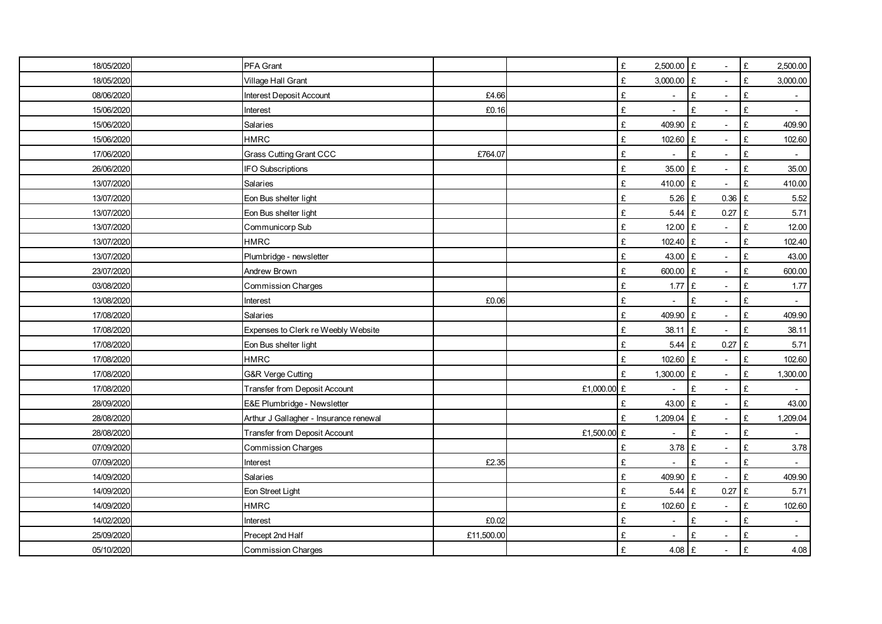| 18/05/2020 | PFA Grant                              |            |             | £<br>2,500.00       | £<br>$\sim$                              | $\pounds$<br>2,500.00            |
|------------|----------------------------------------|------------|-------------|---------------------|------------------------------------------|----------------------------------|
| 18/05/2020 | Village Hall Grant                     |            |             | £<br>3,000.00       | £<br>$\sim$                              | £<br>3,000.00                    |
| 08/06/2020 | Interest Deposit Account               | £4.66      |             | £<br>$\blacksquare$ | £<br>$\overline{\phantom{a}}$            | £<br>$\sim$                      |
| 15/06/2020 | Interest                               | £0.16      |             | £                   | £                                        | £<br>$\overline{a}$              |
| 15/06/2020 | Salaries                               |            |             | £<br>409.90         | £<br>$\overline{a}$                      | £<br>409.90                      |
| 15/06/2020 | <b>HMRC</b>                            |            |             | £<br>102.60         | £<br>$\sim$                              | £<br>102.60                      |
| 17/06/2020 | <b>Grass Cutting Grant CCC</b>         | £764.07    |             | £                   | £                                        | £<br>$\overline{\phantom{a}}$    |
| 26/06/2020 | <b>IFO Subscriptions</b>               |            |             | £<br>35.00 £        | $\overline{\phantom{a}}$                 | £<br>35.00                       |
| 13/07/2020 | Salaries                               |            |             | 410.00 £<br>£       | $\sim$                                   | £<br>410.00                      |
| 13/07/2020 | Eon Bus shelter light                  |            |             | £<br>5.26           | £<br>$0.36$ £                            | 5.52                             |
| 13/07/2020 | Eon Bus shelter light                  |            |             | £<br>5.44           | £<br>0.27                                | $\pounds$<br>5.71                |
| 13/07/2020 | Communicorp Sub                        |            |             | £<br>12.00          | £                                        | £<br>12.00                       |
| 13/07/2020 | <b>HMRC</b>                            |            |             | £<br>102.40 £       | $\overline{\phantom{a}}$                 | £<br>102.40                      |
| 13/07/2020 | Plumbridge - newsletter                |            |             | £<br>43.00          | £<br>$\overline{a}$                      | £<br>43.00                       |
| 23/07/2020 | Andrew Brown                           |            |             | £<br>600.00         | £<br>$\overline{a}$                      | £<br>600.00                      |
| 03/08/2020 | <b>Commission Charges</b>              |            |             | £<br>1.77           | £<br>$\overline{\phantom{a}}$            | £<br>1.77                        |
| 13/08/2020 | Interest                               | £0.06      |             | £                   | £<br>$\blacksquare$                      | £<br>÷.                          |
| 17/08/2020 | Salaries                               |            |             | 409.90 £<br>£       | $\overline{\phantom{a}}$                 | £<br>409.90                      |
| 17/08/2020 | Expenses to Clerk re Weebly Website    |            |             | £<br>38.11 £        | $\sim$                                   | £<br>38.11                       |
| 17/08/2020 | Eon Bus shelter light                  |            |             | £<br>5.44           | £<br>0.27                                | $\pounds$<br>5.71                |
| 17/08/2020 | <b>HMRC</b>                            |            |             | 102.60 £<br>£       | $\blacksquare$                           | £<br>102.60                      |
| 17/08/2020 | G&R Verge Cutting                      |            |             | £<br>1,300.00       | $\mathbf{f}$<br>$\overline{\phantom{a}}$ | £<br>1,300.00                    |
| 17/08/2020 | <b>Transfer from Deposit Account</b>   |            | £1,000.00 £ |                     | £                                        | £                                |
| 28/09/2020 | E&E Plumbridge - Newsletter            |            |             | £<br>43.00          | £<br>$\sim$                              | £<br>43.00                       |
| 28/08/2020 | Arthur J Gallagher - Insurance renewal |            |             | £<br>1,209.04       | £                                        | £<br>1,209.04                    |
| 28/08/2020 | Transfer from Deposit Account          |            | £1,500.00 £ | ÷,                  | £<br>$\overline{\phantom{a}}$            | £<br>$\overline{\phantom{a}}$    |
| 07/09/2020 | <b>Commission Charges</b>              |            |             | £<br>3.78           | £<br>$\overline{\phantom{a}}$            | £<br>3.78                        |
| 07/09/2020 | Interest                               | £2.35      |             | £                   | £<br>÷,                                  | £<br>L.                          |
| 14/09/2020 | Salaries                               |            |             | £<br>409.90         | £<br>$\overline{a}$                      | £<br>409.90                      |
| 14/09/2020 | Eon Street Light                       |            |             | $5.44 \tE$<br>£     | 0.27                                     | $\pounds$<br>5.71                |
| 14/09/2020 | <b>HMRC</b>                            |            |             | £<br>102.60 £       | $\overline{\phantom{a}}$                 | £<br>102.60                      |
| 14/02/2020 | Interest                               | £0.02      |             | £<br>$\overline{a}$ | £<br>$\blacksquare$                      | £<br>$\sim$                      |
| 25/09/2020 | Precept 2nd Half                       | £11,500.00 |             | £                   | £                                        | £<br>$\mathcal{L}_{\mathcal{A}}$ |
| 05/10/2020 | <b>Commission Charges</b>              |            |             | £<br>$4.08$ £       | $\overline{\phantom{a}}$                 | £<br>4.08                        |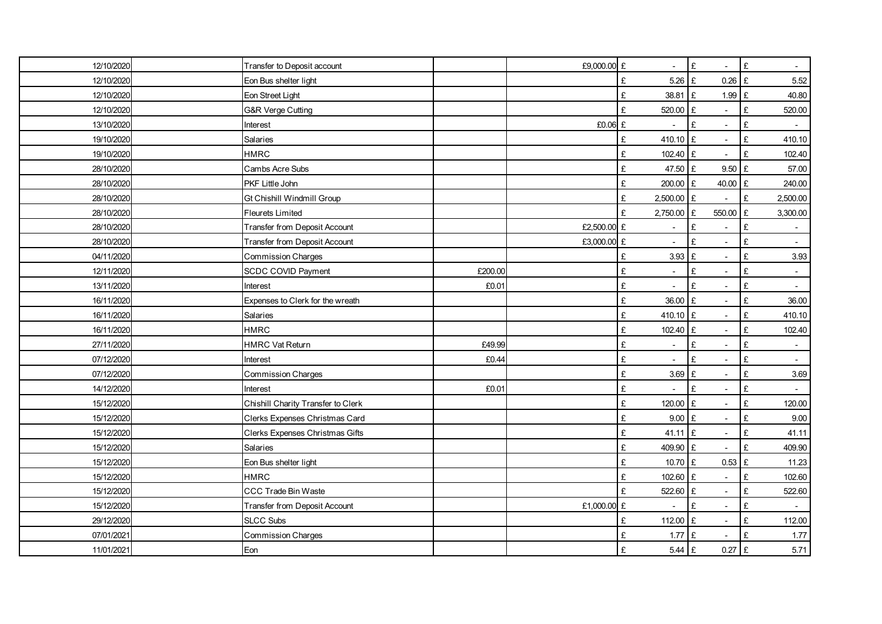| 12/10/2020 | Transfer to Deposit account        |         | £9,000.00 £ |                               | £<br>$\overline{\phantom{a}}$         | $\pounds$<br>$\blacksquare$      |
|------------|------------------------------------|---------|-------------|-------------------------------|---------------------------------------|----------------------------------|
| 12/10/2020 | Eon Bus shelter light              |         |             | £<br>5.26                     | £<br>$0.26$ £                         | 5.52                             |
| 12/10/2020 | Eon Street Light                   |         |             | £<br>38.81 £                  | $1.99$ £                              | 40.80                            |
| 12/10/2020 | <b>G&amp;R Verge Cutting</b>       |         |             | £<br>520.00                   | $\pounds$                             | £<br>520.00                      |
| 13/10/2020 | Interest                           |         | £0.06 £     | $\overline{\phantom{a}}$      | £<br>$\overline{\phantom{a}}$         | £<br>$\overline{\phantom{a}}$    |
| 19/10/2020 | Salaries                           |         |             | £<br>410.10                   | £<br>$\sim$                           | £<br>410.10                      |
| 19/10/2020 | <b>HMRC</b>                        |         |             | £<br>102.40                   | $\pounds$<br>$\overline{\phantom{a}}$ | £<br>102.40                      |
| 28/10/2020 | Cambs Acre Subs                    |         |             | £<br>47.50 £                  | 9.50 E                                | 57.00                            |
| 28/10/2020 | PKF Little John                    |         |             | 200.00 £<br>£                 | 40.00 £                               | 240.00                           |
| 28/10/2020 | Gt Chishill Windmill Group         |         |             | 2,500.00 £<br>£               | $\overline{\phantom{a}}$              | $\pounds$<br>2,500.00            |
| 28/10/2020 | <b>Fleurets Limited</b>            |         |             | £<br>2,750.00                 | £<br>550.00 £                         | 3,300.00                         |
| 28/10/2020 | Transfer from Deposit Account      |         | £2,500.00 £ |                               | £                                     | £                                |
| 28/10/2020 | Transfer from Deposit Account      |         | £3,000.00 £ |                               | £<br>$\sim$                           | £<br>$\mathcal{L}^{\mathcal{L}}$ |
| 04/11/2020 | <b>Commission Charges</b>          |         |             | £<br>3.93                     | £<br>$\overline{\phantom{a}}$         | £<br>3.93                        |
| 12/11/2020 | <b>SCDC COVID Payment</b>          | £200.00 |             | £<br>$\blacksquare$           | £<br>$\blacksquare$                   | £<br>$\blacksquare$              |
| 13/11/2020 | Interest                           | £0.01   |             | £<br>$\blacksquare$           | £<br>$\overline{\phantom{a}}$         | £<br>$\overline{\phantom{a}}$    |
| 16/11/2020 | Expenses to Clerk for the wreath   |         |             | £<br>36.00                    | £<br>$\overline{a}$                   | £<br>36.00                       |
| 16/11/2020 | Salaries                           |         |             | £<br>410.10 £                 | $\blacksquare$                        | £<br>410.10                      |
| 16/11/2020 | <b>HMRC</b>                        |         |             | 102.40 £<br>£                 | $\overline{\phantom{a}}$              | £<br>102.40                      |
| 27/11/2020 | <b>HMRC Vat Return</b>             | £49.99  |             | £<br>$\blacksquare$           | £<br>$\overline{\phantom{a}}$         | £<br>$\blacksquare$              |
| 07/12/2020 | Interest                           | £0.44   |             | £<br>$\overline{\phantom{a}}$ | £<br>$\overline{\phantom{a}}$         | £<br>$\sim$                      |
| 07/12/2020 | Commission Charges                 |         |             | £<br>3.69                     | £<br>$\sim$                           | £<br>3.69                        |
| 14/12/2020 | Interest                           | £0.01   |             | £                             | £<br>$\overline{\phantom{a}}$         | £                                |
| 15/12/2020 | Chishill Charity Transfer to Clerk |         |             | £<br>120.00                   | £<br>$\blacksquare$                   | £<br>120.00                      |
| 15/12/2020 | Clerks Expenses Christmas Card     |         |             | £<br>9.00                     | £                                     | £<br>9.00                        |
| 15/12/2020 | Clerks Expenses Christmas Gifts    |         |             | £<br>41.11                    | £<br>$\blacksquare$                   | £<br>41.11                       |
| 15/12/2020 | Salaries                           |         |             | £<br>409.90                   | £<br>$\overline{a}$                   | £<br>409.90                      |
| 15/12/2020 | Eon Bus shelter light              |         |             | £<br>10.70 £                  | $0.53$ £                              | 11.23                            |
| 15/12/2020 | <b>HMRC</b>                        |         |             | 102.60 £<br>£                 | $\blacksquare$                        | £<br>102.60                      |
| 15/12/2020 | CCC Trade Bin Waste                |         |             | £<br>522.60                   | £<br>$\overline{\phantom{a}}$         | £<br>522.60                      |
| 15/12/2020 | Transfer from Deposit Account      |         | £1,000.00 £ | $\blacksquare$                | £<br>$\blacksquare$                   | £                                |
| 29/12/2020 | <b>SLCC Subs</b>                   |         |             | £<br>112.00                   | £<br>$\overline{\phantom{a}}$         | £<br>112.00                      |
| 07/01/2021 | <b>Commission Charges</b>          |         |             | £<br>1.77                     | £                                     | £<br>1.77                        |
| 11/01/2021 | Eon                                |         |             | £<br>$5.44 \tE$               | $0.27$ £                              | 5.71                             |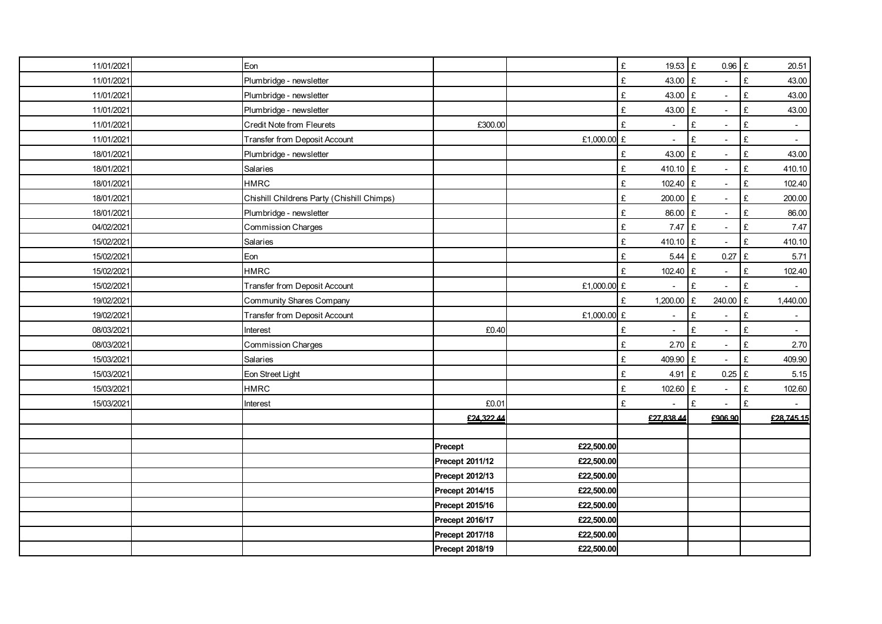| 11/01/2021 | Eon                                        |                 |             | £<br>19.53 £                  | $0.96$ £                              | 20.51                            |
|------------|--------------------------------------------|-----------------|-------------|-------------------------------|---------------------------------------|----------------------------------|
| 11/01/2021 | Plumbridge - newsletter                    |                 |             | £<br>43.00                    | £                                     | £<br>43.00                       |
| 11/01/2021 | Plumbridge - newsletter                    |                 |             | 43.00 £<br>£                  | $\blacksquare$                        | £<br>43.00                       |
| 11/01/2021 | Plumbridge - newsletter                    |                 |             | £<br>43.00                    | £<br>$\overline{a}$                   | £<br>43.00                       |
| 11/01/2021 | Credit Note from Fleurets                  | £300.00         |             | £<br>$\overline{\phantom{a}}$ | £<br>$\overline{\phantom{a}}$         | £<br>$\blacksquare$              |
| 11/01/2021 | Transfer from Deposit Account              |                 | £1,000.00 £ | $\blacksquare$                | £<br>$\blacksquare$                   | £<br>$\sim$                      |
| 18/01/2021 | Plumbridge - newsletter                    |                 |             | £<br>43.00                    | $\pounds$<br>÷,                       | £<br>43.00                       |
| 18/01/2021 | Salaries                                   |                 |             | 410.10 £<br>£                 | $\blacksquare$                        | $\pounds$<br>410.10              |
| 18/01/2021 | <b>HMRC</b>                                |                 |             | 102.40 £<br>£                 | L,                                    | £<br>102.40                      |
| 18/01/2021 | Chishill Childrens Party (Chishill Chimps) |                 |             | £<br>200.00                   | $\pounds$<br>$\overline{\phantom{a}}$ | £<br>200.00                      |
| 18/01/2021 | Plumbridge - newsletter                    |                 |             | 86.00<br>£                    | £<br>$\blacksquare$                   | 86.00<br>£                       |
| 04/02/2021 | <b>Commission Charges</b>                  |                 |             | $7.47 \tE$<br>£               | $\overline{a}$                        | £<br>$7.47$                      |
| 15/02/2021 | Salaries                                   |                 |             | £<br>410.10 £                 |                                       | £<br>410.10                      |
| 15/02/2021 | Eon                                        |                 |             | $5.44 \tE$<br>£               | $0.27$ £                              | 5.71                             |
| 15/02/2021 | <b>HMRC</b>                                |                 |             | £<br>102.40                   | £<br>$\overline{\phantom{a}}$         | £<br>102.40                      |
| 15/02/2021 | <b>Transfer from Deposit Account</b>       |                 | £1,000.00 £ | $\blacksquare$                | £<br>$\overline{\phantom{a}}$         | £<br>$\sim$                      |
| 19/02/2021 | Community Shares Company                   |                 |             | £<br>1,200.00                 | 240.00 £<br>£                         | 1,440.00                         |
| 19/02/2021 | Transfer from Deposit Account              |                 | £1,000.00 £ | $\blacksquare$                | £                                     | £<br>$\blacksquare$              |
| 08/03/2021 | Interest                                   | £0.40           |             | £<br>$\sim$                   | £<br>$\blacksquare$                   | £<br>$\mathcal{L}_{\mathcal{A}}$ |
| 08/03/2021 | Commission Charges                         |                 |             | £<br>2.70                     | £<br>$\overline{\phantom{a}}$         | £<br>2.70                        |
| 15/03/2021 | Salaries                                   |                 |             | £<br>409.90 £                 | $\overline{\phantom{a}}$              | £<br>409.90                      |
| 15/03/2021 | Eon Street Light                           |                 |             | £<br>4.91                     | £<br>$0.25$ £                         | 5.15                             |
| 15/03/2021 | <b>HMRC</b>                                |                 |             | £<br>102.60 £                 | $\overline{\phantom{a}}$              | £<br>102.60                      |
| 15/03/2021 | Interest                                   | £0.01           |             | £<br>$\blacksquare$           | £<br>$\blacksquare$                   | £                                |
|            |                                            | £24,322.44      |             | £27,838.44                    | £906.90                               | £28,745.15                       |
|            |                                            |                 |             |                               |                                       |                                  |
|            |                                            | Precept         | £22,500.00  |                               |                                       |                                  |
|            |                                            | Precept 2011/12 | £22,500.00  |                               |                                       |                                  |
|            |                                            | Precept 2012/13 | £22,500.00  |                               |                                       |                                  |
|            |                                            | Precept 2014/15 | £22,500.00  |                               |                                       |                                  |
|            |                                            | Precept 2015/16 | £22,500.00  |                               |                                       |                                  |
|            |                                            | Precept 2016/17 | £22,500.00  |                               |                                       |                                  |
|            |                                            | Precept 2017/18 | £22,500.00  |                               |                                       |                                  |
|            |                                            | Precept 2018/19 | £22,500.00  |                               |                                       |                                  |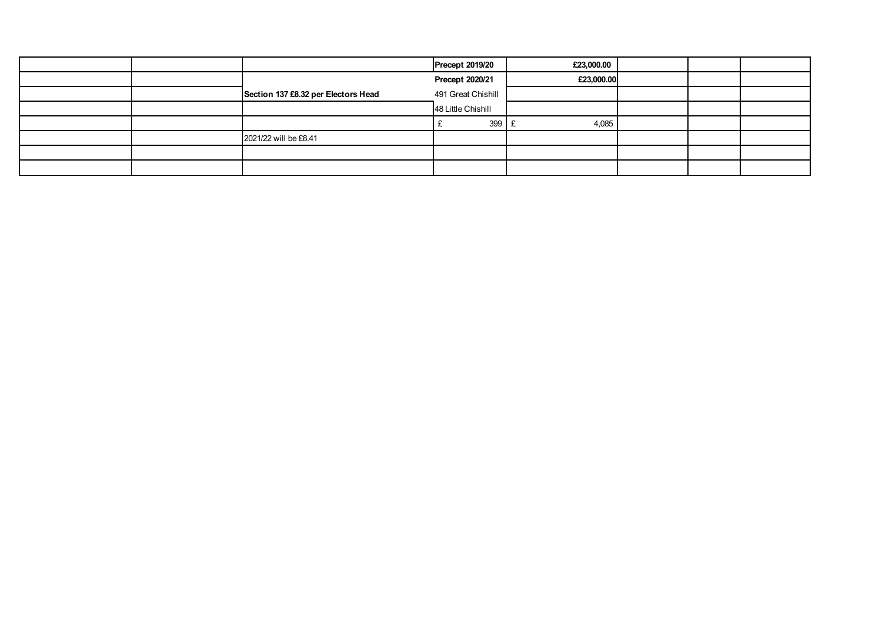|  |                                     | <b>Precept 2019/20</b> | £23,000.00 |  |  |
|--|-------------------------------------|------------------------|------------|--|--|
|  |                                     | Precept 2020/21        | £23,000.00 |  |  |
|  | Section 137 £8.32 per Electors Head | 491 Great Chishill     |            |  |  |
|  |                                     | 48 Little Chishill     |            |  |  |
|  |                                     | 399                    | 4,085      |  |  |
|  | 2021/22 will be £8.41               |                        |            |  |  |
|  |                                     |                        |            |  |  |
|  |                                     |                        |            |  |  |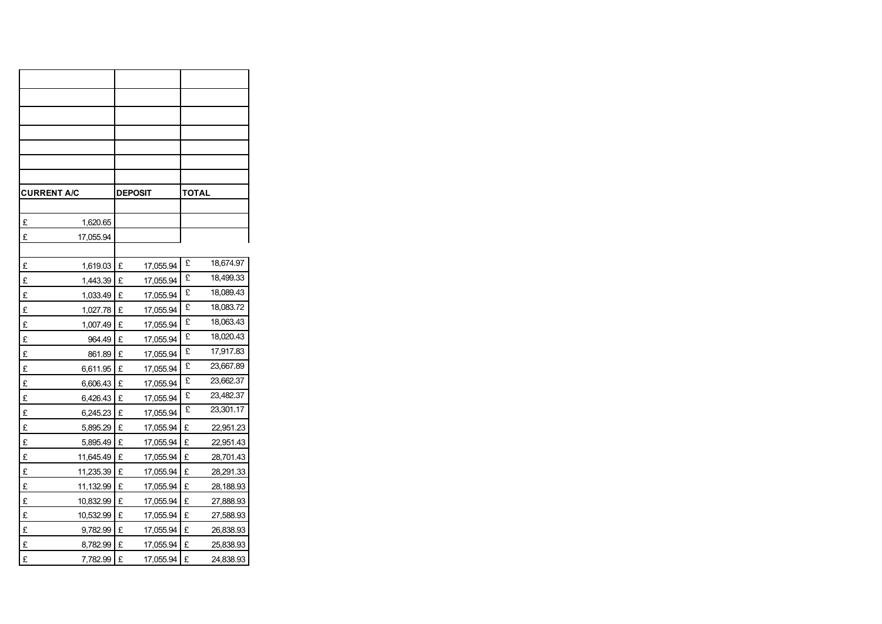| <b>CURRENT A/C</b> |           |   | <b>DEPOSIT</b> | TOTAL |           |
|--------------------|-----------|---|----------------|-------|-----------|
|                    |           |   |                |       |           |
| £                  | 1,620.65  |   |                |       |           |
| £                  | 17,055.94 |   |                |       |           |
|                    |           |   |                |       |           |
| £                  | 1,619.03  | £ | 17,055.94      | £     | 18,674.97 |
| £                  | 1,443.39  | £ | 17,055.94      | £     | 18,499.33 |
| £                  | 1,033.49  | £ | 17,055.94      | £     | 18,089.43 |
| £                  | 1,027.78  | £ | 17,055.94      | £     | 18,083.72 |
| £                  | 1,007.49  | £ | 17,055.94      | £     | 18,063.43 |
| £                  | 964.49    | £ | 17,055.94      | £     | 18,020.43 |
| £                  | 861.89    | £ | 17,055.94      | £     | 17,917.83 |
| £                  | 6,611.95  | £ | 17,055.94      | £     | 23,667.89 |
| £                  | 6,606.43  | £ | 17,055.94      | £     | 23,662.37 |
| £                  | 6,426.43  | £ | 17,055.94      | £     | 23,482.37 |
| £                  | 6,245.23  | £ | 17,055.94      | £     | 23,301.17 |
| £                  | 5,895.29  | £ | 17,055.94      | £     | 22,951.23 |
| £                  | 5,895.49  | £ | 17,055.94      | £     | 22,951.43 |
| £                  | 11,645.49 | £ | 17,055.94      | £     | 28,701.43 |
| £                  | 11,235.39 | £ | 17,055.94      | £     | 28,291.33 |
| £                  | 11,132.99 | £ | 17,055.94      | £     | 28,188.93 |
| £                  | 10,832.99 | £ | 17,055.94      | £     | 27,888.93 |
| £                  | 10,532.99 | £ | 17,055.94      | £     | 27,588.93 |
| £                  | 9,782.99  | £ | 17,055.94      | £     | 26,838.93 |
| £                  | 8,782.99  | £ | 17,055.94      | £     | 25,838.93 |
| £                  | 7,782.99  | £ | 17,055.94      | £     | 24,838.93 |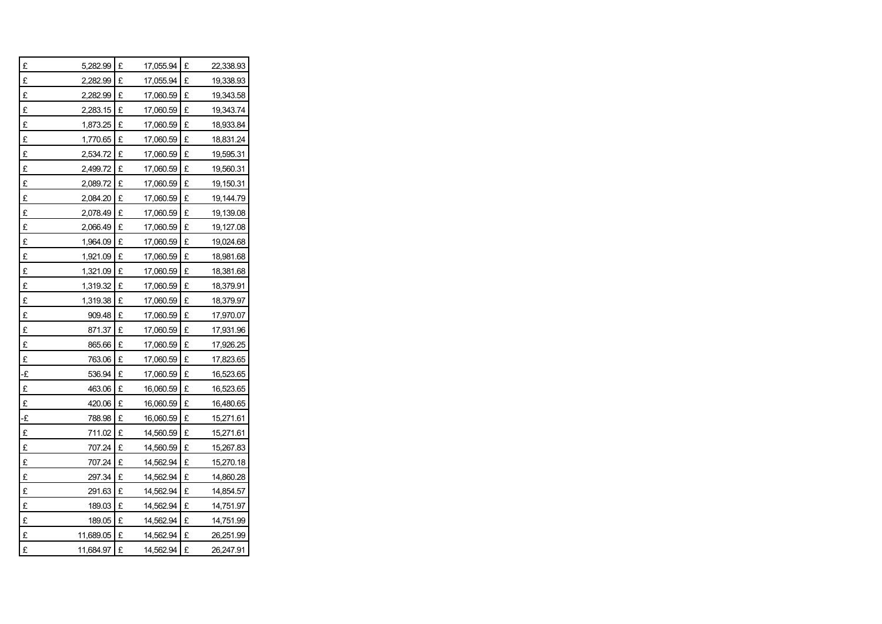| £  | 5,282.99  | £ | 17,055.94 | £ | 22,338.93 |
|----|-----------|---|-----------|---|-----------|
| £  | 2,282.99  | £ | 17,055.94 | £ | 19,338.93 |
| £  | 2,282.99  | £ | 17,060.59 | £ | 19,343.58 |
| £  | 2,283.15  | £ | 17,060.59 | £ | 19,343.74 |
| £  | 1,873.25  | £ | 17,060.59 | £ | 18,933.84 |
| £  | 1,770.65  | £ | 17,060.59 | £ | 18,831.24 |
| £  | 2,534.72  | £ | 17,060.59 | £ | 19,595.31 |
| £  | 2,499.72  | £ | 17,060.59 | £ | 19,560.31 |
| £  | 2,089.72  | £ | 17,060.59 | £ | 19,150.31 |
| £  | 2,084.20  | £ | 17,060.59 | £ | 19,144.79 |
| £  | 2,078.49  | £ | 17,060.59 | £ | 19,139.08 |
| £  | 2,066.49  | £ | 17,060.59 | £ | 19,127.08 |
| £  | 1,964.09  | £ | 17,060.59 | £ | 19,024.68 |
| £  | 1,921.09  | £ | 17,060.59 | £ | 18,981.68 |
| £  | 1,321.09  | £ | 17,060.59 | £ | 18,381.68 |
| £  | 1,319.32  | £ | 17,060.59 | £ | 18,379.91 |
| £  | 1,319.38  | £ | 17,060.59 | £ | 18,379.97 |
| £  | 909.48    | £ | 17,060.59 | £ | 17,970.07 |
| £  | 871.37    | £ | 17,060.59 | £ | 17,931.96 |
| £  | 865.66    | £ | 17,060.59 | £ | 17,926.25 |
| £  | 763.06    | £ | 17,060.59 | £ | 17,823.65 |
| -£ | 536.94    | £ | 17,060.59 | £ | 16,523.65 |
| £  | 463.06    | £ | 16,060.59 | £ | 16,523.65 |
| £  | 420.06    | £ | 16,060.59 | £ | 16,480.65 |
| ٠£ | 788.98    | £ | 16,060.59 | £ | 15,271.61 |
| £  | 711.02    | £ | 14,560.59 | £ | 15,271.61 |
| £  | 707.24    | £ | 14,560.59 | £ | 15,267.83 |
| £  | 707.24    | £ | 14,562.94 | £ | 15,270.18 |
| £  | 297.34    | £ | 14,562.94 | £ | 14,860.28 |
| £  | 291.63    | £ | 14,562.94 | £ | 14,854.57 |
| £  | 189.03    | £ | 14,562.94 | £ | 14,751.97 |
| £  | 189.05    | £ | 14,562.94 | £ | 14,751.99 |
| £  | 11,689.05 | £ | 14,562.94 | £ | 26,251.99 |
| £  | 11,684.97 | £ | 14,562.94 | £ | 26,247.91 |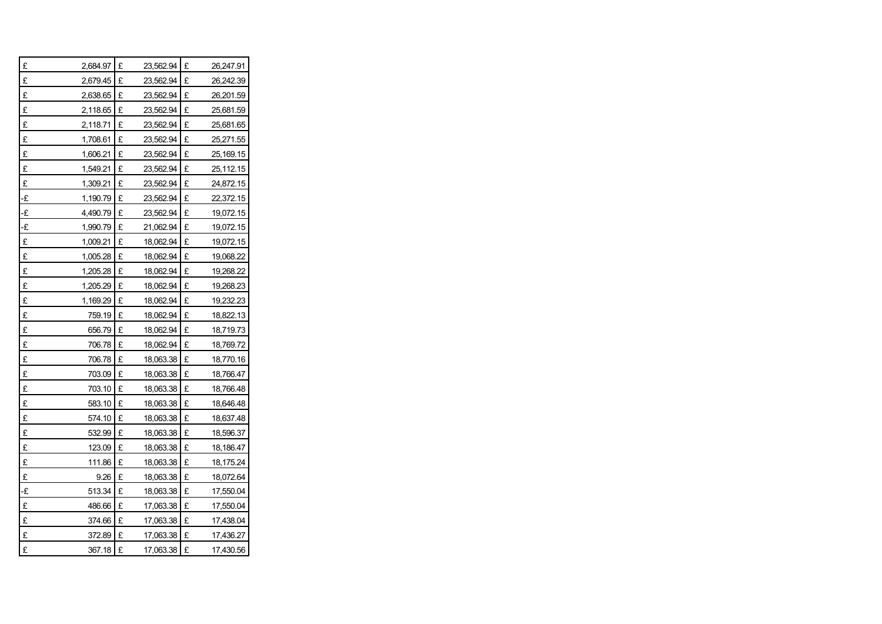| £             | 2,684.97 | £ | 23,562.94 | £ | 26,247.91 |
|---------------|----------|---|-----------|---|-----------|
| £             | 2,679.45 | £ | 23,562.94 | £ | 26,242.39 |
| £             | 2,638.65 | £ | 23,562.94 | £ | 26,201.59 |
| £             | 2,118.65 | £ | 23,562.94 | £ | 25,681.59 |
| £             | 2,118.71 | £ | 23,562.94 | £ | 25,681.65 |
| £             | 1,708.61 | £ | 23,562.94 | £ | 25,271.55 |
| £             | 1,606.21 | £ | 23,562.94 | £ | 25,169.15 |
| £             | 1,549.21 | £ | 23,562.94 | £ | 25,112.15 |
| £             | 1,309.21 | £ | 23,562.94 | £ | 24,872.15 |
| -£            | 1,190.79 | £ | 23,562.94 | £ | 22,372.15 |
| $-\mathbf{f}$ | 4,490.79 | £ | 23,562.94 | £ | 19,072.15 |
| -£            | 1,990.79 | £ | 21,062.94 | £ | 19,072.15 |
| £             | 1,009.21 | £ | 18,062.94 | £ | 19,072.15 |
| £             | 1,005.28 | £ | 18,062.94 | £ | 19,068.22 |
| £             | 1,205.28 | £ | 18,062.94 | £ | 19,268.22 |
| £             | 1,205.29 | £ | 18,062.94 | £ | 19,268.23 |
| £             | 1,169.29 | £ | 18,062.94 | £ | 19,232.23 |
| £             | 759.19   | £ | 18,062.94 | £ | 18,822.13 |
| £             | 656.79   | £ | 18,062.94 | £ | 18,719.73 |
| £             | 706.78   | £ | 18,062.94 | £ | 18,769.72 |
| £             | 706.78   | £ | 18,063.38 | £ | 18,770.16 |
| £             | 703.09   | £ | 18,063.38 | £ | 18,766.47 |
| £             | 703.10   | £ | 18,063.38 | £ | 18,766.48 |
| £             | 583.10   | £ | 18,063.38 | £ | 18,646.48 |
| £             | 574.10   | £ | 18,063.38 | £ | 18,637.48 |
| £             | 532.99   | £ | 18,063.38 | £ | 18,596.37 |
| £             | 123.09   | £ | 18,063.38 | £ | 18,186.47 |
| £             | 111.86   | £ | 18,063.38 | £ | 18,175.24 |
| £             | 9.26     | £ | 18,063.38 | £ | 18,072.64 |
| -£            | 513.34   | £ | 18,063.38 | £ | 17,550.04 |
| £             | 486.66   | £ | 17,063.38 | £ | 17,550.04 |
| £             | 374.66   | £ | 17,063.38 | £ | 17,438.04 |
| £             | 372.89   | £ | 17,063.38 | £ | 17,436.27 |
| £             | 367.18   | £ | 17,063.38 | £ | 17,430.56 |